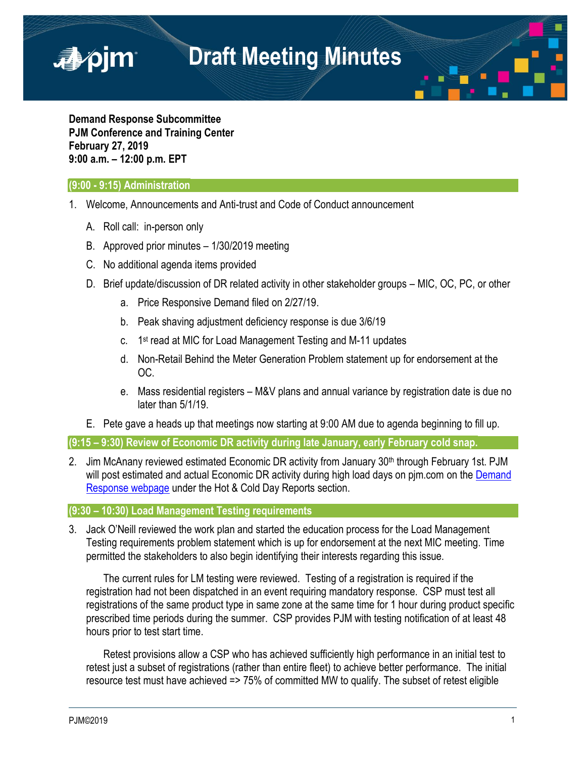**Demand Response Subcommittee PJM Conference and Training Center February 27, 2019 9:00 a.m. – 12:00 p.m. EPT**

## **(9:00 - 9:15) Administration**

■pim

- 1. Welcome, Announcements and Anti-trust and Code of Conduct announcement
	- A. Roll call: in-person only
	- B. Approved prior minutes 1/30/2019 meeting
	- C. No additional agenda items provided
	- D. Brief update/discussion of DR related activity in other stakeholder groups MIC, OC, PC, or other
		- a. Price Responsive Demand filed on 2/27/19.
		- b. Peak shaving adjustment deficiency response is due 3/6/19
		- c. 1<sup>st</sup> read at MIC for Load Management Testing and M-11 updates
		- d. Non-Retail Behind the Meter Generation Problem statement up for endorsement at the OC.
		- e. Mass residential registers M&V plans and annual variance by registration date is due no later than 5/1/19.
	- E. Pete gave a heads up that meetings now starting at 9:00 AM due to agenda beginning to fill up.

**(9:15 – 9:30) Review of Economic DR activity during late January, early February cold snap.**

2. Jim McAnany reviewed estimated Economic DR activity from January 30<sup>th</sup> through February 1st. PJM will post estimated and actual Economic DR activity during high load days on pim.com on the Demand [Response webpage](https://www.pjm.com/markets-and-operations/demand-response.aspx) under the Hot & Cold Day Reports section.

**(9:30 – 10:30) Load Management Testing requirements**

3. Jack O'Neill reviewed the work plan and started the education process for the Load Management Testing requirements problem statement which is up for endorsement at the next MIC meeting. Time permitted the stakeholders to also begin identifying their interests regarding this issue.

The current rules for LM testing were reviewed. Testing of a registration is required if the registration had not been dispatched in an event requiring mandatory response. CSP must test all registrations of the same product type in same zone at the same time for 1 hour during product specific prescribed time periods during the summer. CSP provides PJM with testing notification of at least 48 hours prior to test start time.

Retest provisions allow a CSP who has achieved sufficiently high performance in an initial test to retest just a subset of registrations (rather than entire fleet) to achieve better performance. The initial resource test must have achieved => 75% of committed MW to qualify. The subset of retest eligible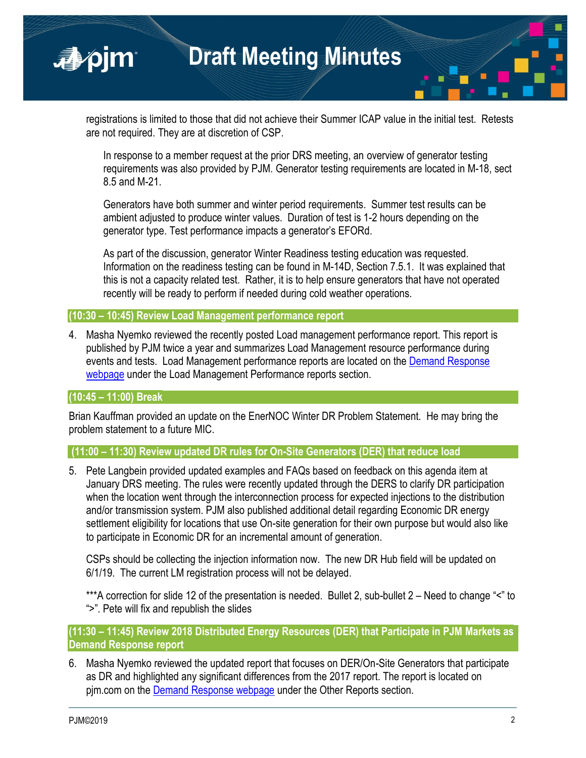registrations is limited to those that did not achieve their Summer ICAP value in the initial test. Retests are not required. They are at discretion of CSP.

In response to a member request at the prior DRS meeting, an overview of generator testing requirements was also provided by PJM. Generator testing requirements are located in M-18, sect 8.5 and M-21.

Generators have both summer and winter period requirements. Summer test results can be ambient adjusted to produce winter values. Duration of test is 1-2 hours depending on the generator type. Test performance impacts a generator's EFORd.

As part of the discussion, generator Winter Readiness testing education was requested. Information on the readiness testing can be found in M-14D, Section 7.5.1. It was explained that this is not a capacity related test. Rather, it is to help ensure generators that have not operated recently will be ready to perform if needed during cold weather operations.

### **(10:30 – 10:45) Review Load Management performance report**

4. Masha Nyemko reviewed the recently posted Load management performance report. This report is published by PJM twice a year and summarizes Load Management resource performance during events and tests. Load Management performance reports are located on the [Demand Response](https://www.pjm.com/markets-and-operations/demand-response.aspx) [webpage](https://www.pjm.com/markets-and-operations/demand-response.aspx) under the Load Management Performance reports section.

### **(10:45 – 11:00) Break**

■pjm

Brian Kauffman provided an update on the EnerNOC Winter DR Problem Statement. He may bring the problem statement to a future MIC.

**(11:00 – 11:30) Review updated DR rules for On-Site Generators (DER) that reduce load** 

5. Pete Langbein provided updated examples and FAQs based on feedback on this agenda item at January DRS meeting. The rules were recently updated through the DERS to clarify DR participation when the location went through the interconnection process for expected injections to the distribution and/or transmission system. PJM also published additional detail regarding Economic DR energy settlement eligibility for locations that use On-site generation for their own purpose but would also like to participate in Economic DR for an incremental amount of generation.

CSPs should be collecting the injection information now. The new DR Hub field will be updated on 6/1/19. The current LM registration process will not be delayed.

\*\*\*A correction for slide 12 of the presentation is needed. Bullet 2, sub-bullet 2 – Need to change "<" to ">". Pete will fix and republish the slides

# **(11:30 – 11:45) Review 2018 Distributed Energy Resources (DER) that Participate in PJM Markets as Demand Response report**

6. Masha Nyemko reviewed the updated report that focuses on DER/On-Site Generators that participate as DR and highlighted any significant differences from the 2017 report. The report is located on pjm.com on the [Demand Response webpage](https://www.pjm.com/markets-and-operations/demand-response.aspx) under the Other Reports section.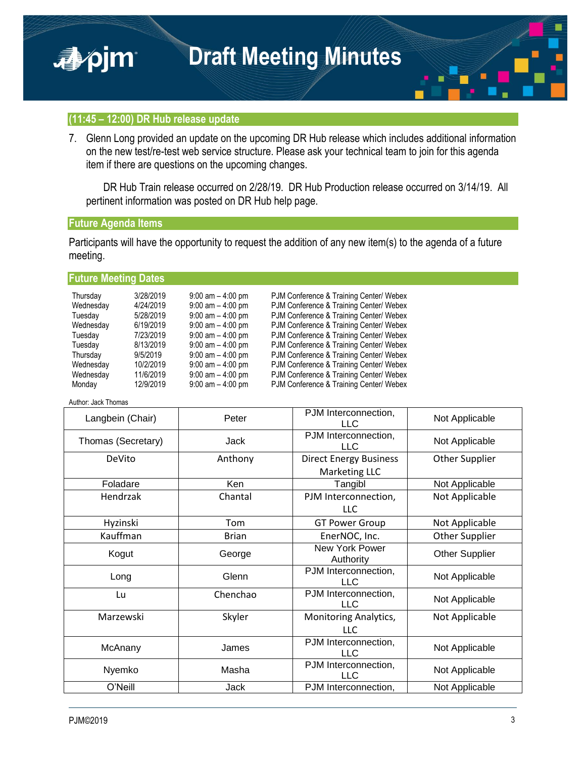



7. Glenn Long provided an update on the upcoming DR Hub release which includes additional information on the new test/re-test web service structure. Please ask your technical team to join for this agenda item if there are questions on the upcoming changes.

DR Hub Train release occurred on 2/28/19. DR Hub Production release occurred on 3/14/19. All pertinent information was posted on DR Hub help page.

#### **Future Agenda Items**

apjm

Participants will have the opportunity to request the addition of any new item(s) to the agenda of a future meeting.

### **Future Meeting Dates**

| Thursday  | 3/28/2019 | $9:00$ am $-4:00$ pm | PJM Conference & Training Center/ Webex |
|-----------|-----------|----------------------|-----------------------------------------|
| Wednesday | 4/24/2019 | $9:00$ am $-4:00$ pm | PJM Conference & Training Center/ Webex |
| Tuesday   | 5/28/2019 | $9:00$ am $-4:00$ pm | PJM Conference & Training Center/ Webex |
| Wednesday | 6/19/2019 | $9:00$ am $-4:00$ pm | PJM Conference & Training Center/ Webex |
| Tuesday   | 7/23/2019 | $9:00$ am $-4:00$ pm | PJM Conference & Training Center/ Webex |
| Tuesday   | 8/13/2019 | $9:00$ am $-4:00$ pm | PJM Conference & Training Center/ Webex |
| Thursday  | 9/5/2019  | $9:00$ am $-4:00$ pm | PJM Conference & Training Center/ Webex |
| Wednesday | 10/2/2019 | $9:00$ am $-4:00$ pm | PJM Conference & Training Center/ Webex |
| Wednesday | 11/6/2019 | $9:00$ am $-4:00$ pm | PJM Conference & Training Center/ Webex |
| Monday    | 12/9/2019 | $9:00$ am $-4:00$ pm | PJM Conference & Training Center/ Webex |

Author: Jack Thomas

| Langbein (Chair)   | Peter        | PJM Interconnection,<br><b>LLC</b> | Not Applicable        |
|--------------------|--------------|------------------------------------|-----------------------|
| Thomas (Secretary) | Jack         | PJM Interconnection,<br><b>LLC</b> | Not Applicable        |
| DeVito             | Anthony      | <b>Direct Energy Business</b>      | <b>Other Supplier</b> |
|                    |              | Marketing LLC                      |                       |
| Foladare           | Ken          | Tangibl                            | Not Applicable        |
| Hendrzak           | Chantal      | PJM Interconnection,               | Not Applicable        |
|                    |              | <b>LLC</b>                         |                       |
| Hyzinski           | Tom          | <b>GT Power Group</b>              | Not Applicable        |
| Kauffman           | <b>Brian</b> | EnerNOC, Inc.                      | <b>Other Supplier</b> |
| Kogut              | George       | New York Power                     | <b>Other Supplier</b> |
|                    |              | Authority                          |                       |
| Long               | Glenn        | PJM Interconnection,<br><b>LLC</b> | Not Applicable        |
| Lu                 | Chenchao     | PJM Interconnection,<br><b>LLC</b> | Not Applicable        |
| Marzewski          | Skyler       | <b>Monitoring Analytics,</b>       | Not Applicable        |
|                    |              | <b>LLC</b>                         |                       |
| McAnany            | James        | PJM Interconnection,               | Not Applicable        |
|                    |              | <b>LLC</b>                         |                       |
| Nyemko             | Masha        | PJM Interconnection,<br><b>LLC</b> | Not Applicable        |
| O'Neill            | Jack         | PJM Interconnection,               | Not Applicable        |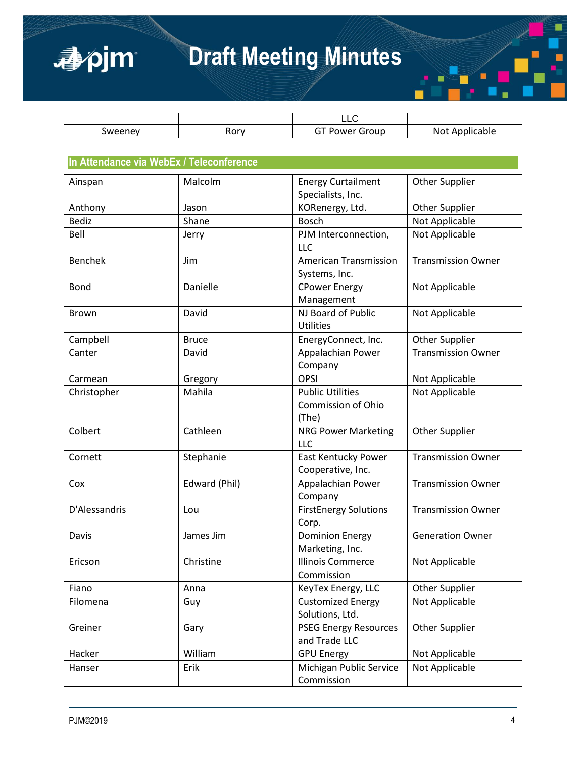



|         |      | ᄂᄂ                                               |                         |
|---------|------|--------------------------------------------------|-------------------------|
| sweeney | Rory | - -<br><b>OWAr</b><br>iroup<br>. .<br>1 – 1<br>. | 'cable'<br>Not<br>Annur |

#### **In Attendance via WebEx / Teleconference**

| Ainspan        | Malcolm       | <b>Energy Curtailment</b>                              | <b>Other Supplier</b>     |
|----------------|---------------|--------------------------------------------------------|---------------------------|
|                |               | Specialists, Inc.                                      |                           |
| Anthony        | Jason         | KORenergy, Ltd.                                        | <b>Other Supplier</b>     |
| <b>Bediz</b>   | Shane         | <b>Bosch</b>                                           | Not Applicable            |
| Bell           | Jerry         | PJM Interconnection,<br><b>LLC</b>                     | Not Applicable            |
| <b>Benchek</b> | Jim           | <b>American Transmission</b><br>Systems, Inc.          | <b>Transmission Owner</b> |
| <b>Bond</b>    | Danielle      | <b>CPower Energy</b><br>Management                     | Not Applicable            |
| Brown          | David         | NJ Board of Public<br><b>Utilities</b>                 | Not Applicable            |
| Campbell       | <b>Bruce</b>  | EnergyConnect, Inc.                                    | <b>Other Supplier</b>     |
| Canter         | David         | Appalachian Power<br>Company                           | <b>Transmission Owner</b> |
| Carmean        | Gregory       | <b>OPSI</b>                                            | Not Applicable            |
| Christopher    | Mahila        | <b>Public Utilities</b><br>Commission of Ohio<br>(The) | Not Applicable            |
| Colbert        | Cathleen      | <b>NRG Power Marketing</b><br>LLC                      | <b>Other Supplier</b>     |
| Cornett        | Stephanie     | <b>East Kentucky Power</b><br>Cooperative, Inc.        | <b>Transmission Owner</b> |
| Cox            | Edward (Phil) | Appalachian Power<br>Company                           | <b>Transmission Owner</b> |
| D'Alessandris  | Lou           | <b>FirstEnergy Solutions</b><br>Corp.                  | <b>Transmission Owner</b> |
| Davis          | James Jim     | <b>Dominion Energy</b><br>Marketing, Inc.              | <b>Generation Owner</b>   |
| Ericson        | Christine     | <b>Illinois Commerce</b><br>Commission                 | Not Applicable            |
| Fiano          | Anna          | KeyTex Energy, LLC                                     | <b>Other Supplier</b>     |
| Filomena       | Guy           | <b>Customized Energy</b><br>Solutions, Ltd.            | Not Applicable            |
| Greiner        | Gary          | <b>PSEG Energy Resources</b><br>and Trade LLC          | <b>Other Supplier</b>     |
| Hacker         | William       | <b>GPU Energy</b>                                      | Not Applicable            |
| Hanser         | Erik          | Michigan Public Service<br>Commission                  | Not Applicable            |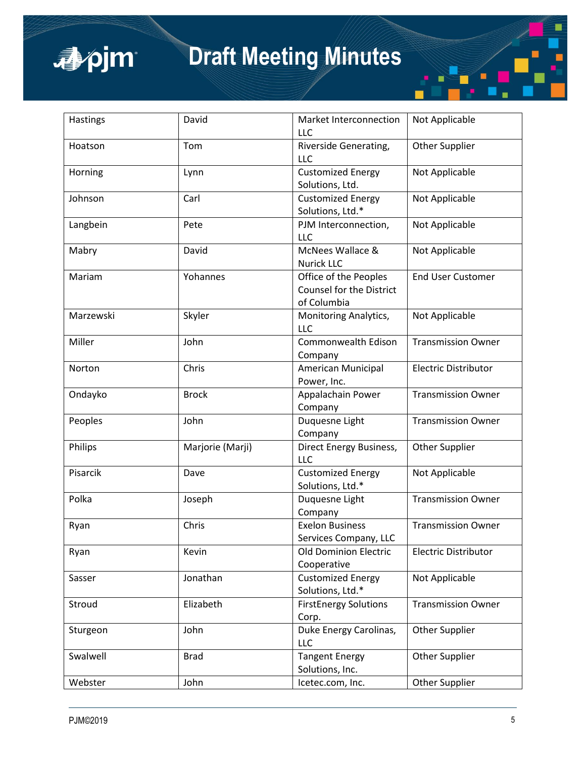

| Hastings  | David            | Market Interconnection<br>LLC                                    | Not Applicable              |
|-----------|------------------|------------------------------------------------------------------|-----------------------------|
| Hoatson   | Tom              | Riverside Generating,<br><b>LLC</b>                              | <b>Other Supplier</b>       |
| Horning   | Lynn             | <b>Customized Energy</b><br>Solutions, Ltd.                      | Not Applicable              |
| Johnson   | Carl             | <b>Customized Energy</b><br>Solutions, Ltd.*                     | Not Applicable              |
| Langbein  | Pete             | PJM Interconnection,<br><b>LLC</b>                               | Not Applicable              |
| Mabry     | David            | McNees Wallace &<br><b>Nurick LLC</b>                            | Not Applicable              |
| Mariam    | Yohannes         | Office of the Peoples<br>Counsel for the District<br>of Columbia | <b>End User Customer</b>    |
| Marzewski | Skyler           | Monitoring Analytics,<br>LLC                                     | Not Applicable              |
| Miller    | John             | Commonwealth Edison<br>Company                                   | <b>Transmission Owner</b>   |
| Norton    | Chris            | American Municipal<br>Power, Inc.                                | <b>Electric Distributor</b> |
| Ondayko   | <b>Brock</b>     | Appalachain Power<br>Company                                     | <b>Transmission Owner</b>   |
| Peoples   | John             | Duquesne Light<br>Company                                        | <b>Transmission Owner</b>   |
| Philips   | Marjorie (Marji) | Direct Energy Business,<br><b>LLC</b>                            | <b>Other Supplier</b>       |
| Pisarcik  | Dave             | <b>Customized Energy</b><br>Solutions, Ltd.*                     | Not Applicable              |
| Polka     | Joseph           | Duquesne Light<br>Company                                        | <b>Transmission Owner</b>   |
| Ryan      | Chris            | <b>Exelon Business</b><br>Services Company, LLC                  | <b>Transmission Owner</b>   |
| Ryan      | Kevin            | <b>Old Dominion Electric</b><br>Cooperative                      | <b>Electric Distributor</b> |
| Sasser    | Jonathan         | <b>Customized Energy</b><br>Solutions, Ltd.*                     | Not Applicable              |
| Stroud    | Elizabeth        | <b>FirstEnergy Solutions</b><br>Corp.                            | <b>Transmission Owner</b>   |
| Sturgeon  | John             | Duke Energy Carolinas,<br>LLC                                    | <b>Other Supplier</b>       |
| Swalwell  | <b>Brad</b>      | <b>Tangent Energy</b><br>Solutions, Inc.                         | <b>Other Supplier</b>       |
| Webster   | John             | Icetec.com, Inc.                                                 | <b>Other Supplier</b>       |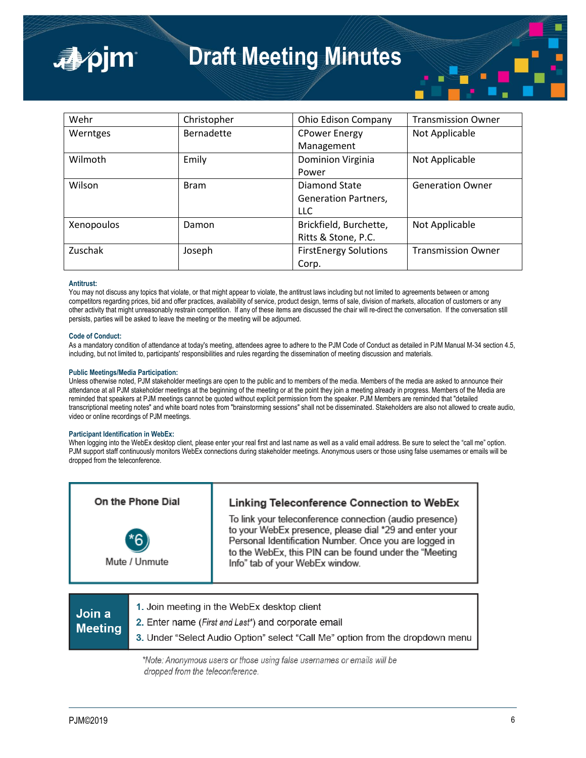

| Wehr       | Christopher | Ohio Edison Company          | <b>Transmission Owner</b> |
|------------|-------------|------------------------------|---------------------------|
| Werntges   | Bernadette  | <b>CPower Energy</b>         | Not Applicable            |
|            |             | Management                   |                           |
| Wilmoth    | Emily       | <b>Dominion Virginia</b>     | Not Applicable            |
|            |             | Power                        |                           |
| Wilson     | <b>Bram</b> | Diamond State                | <b>Generation Owner</b>   |
|            |             | <b>Generation Partners,</b>  |                           |
|            |             | <b>LLC</b>                   |                           |
| Xenopoulos | Damon       | Brickfield, Burchette,       | Not Applicable            |
|            |             | Ritts & Stone, P.C.          |                           |
| Zuschak    | Joseph      | <b>FirstEnergy Solutions</b> | <b>Transmission Owner</b> |
|            |             | Corp.                        |                           |

#### **Antitrust:**

You may not discuss any topics that violate, or that might appear to violate, the antitrust laws including but not limited to agreements between or among competitors regarding prices, bid and offer practices, availability of service, product design, terms of sale, division of markets, allocation of customers or any other activity that might unreasonably restrain competition. If any of these items are discussed the chair will re-direct the conversation. If the conversation still persists, parties will be asked to leave the meeting or the meeting will be adjourned.

#### **Code of Conduct:**

As a mandatory condition of attendance at today's meeting, attendees agree to adhere to the PJM Code of Conduct as detailed in PJM Manual M-34 section 4.5, including, but not limited to, participants' responsibilities and rules regarding the dissemination of meeting discussion and materials.

#### **Public Meetings/Media Participation:**

Unless otherwise noted, PJM stakeholder meetings are open to the public and to members of the media. Members of the media are asked to announce their attendance at all PJM stakeholder meetings at the beginning of the meeting or at the point they join a meeting already in progress. Members of the Media are reminded that speakers at PJM meetings cannot be quoted without explicit permission from the speaker. PJM Members are reminded that "detailed transcriptional meeting notes" and white board notes from "brainstorming sessions" shall not be disseminated. Stakeholders are also not allowed to create audio, video or online recordings of PJM meetings.

#### **Participant Identification in WebEx:**

When logging into the WebEx desktop client, please enter your real first and last name as well as a valid email address. Be sure to select the "call me" option. PJM support staff continuously monitors WebEx connections during stakeholder meetings. Anonymous users or those using false usernames or emails will be dropped from the teleconference.



| <b>Meeting</b> | 3. Under "Select Audio Option" select "Call Me" option from the dropdown ment |
|----------------|-------------------------------------------------------------------------------|
| Join a         | 2. Enter name (First and Last*) and corporate email                           |
|                | <b>I.</b> JUIL LIIUUILIY III IIIU YYUDLA UUJKIUD UIIUIII                      |

\*Note: Anonymous users or those using false usernames or emails will be dropped from the teleconference.